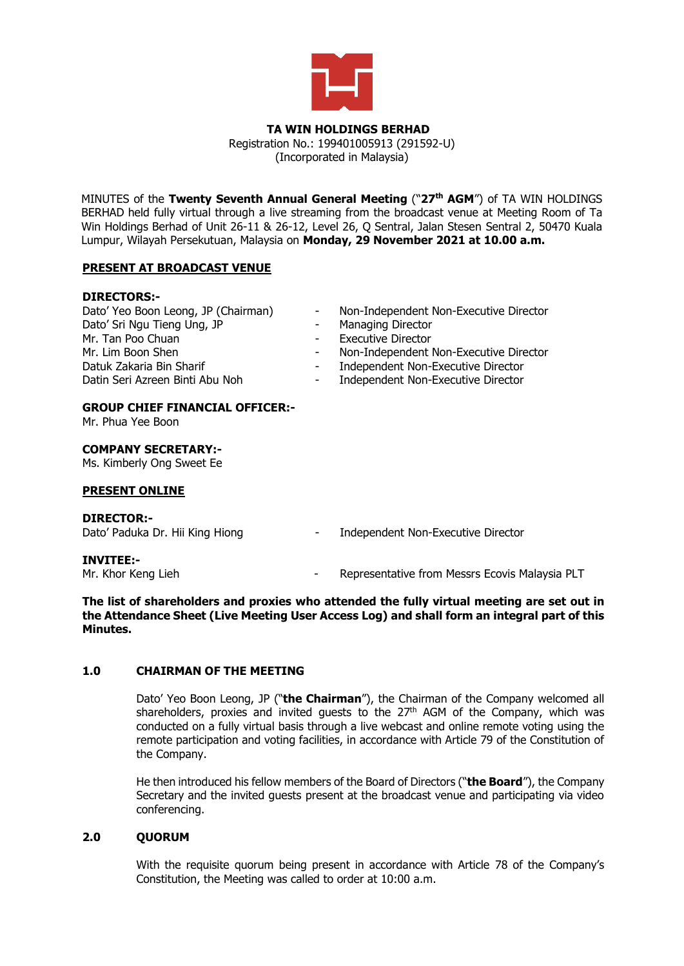

#### **TA WIN HOLDINGS BERHAD** Registration No.: 199401005913 (291592-U)

(Incorporated in Malaysia)

MINUTES of the **Twenty Seventh Annual General Meeting** ("**27 th AGM**") of TA WIN HOLDINGS BERHAD held fully virtual through a live streaming from the broadcast venue at Meeting Room of Ta Win Holdings Berhad of Unit 26-11 & 26-12, Level 26, Q Sentral, Jalan Stesen Sentral 2, 50470 Kuala Lumpur, Wilayah Persekutuan, Malaysia on **Monday, 29 November 2021 at 10.00 a.m.**

# **PRESENT AT BROADCAST VENUE**

## **DIRECTORS:-**

| Dato' Yeo Boon Leong, JP (Chairman) | $\sim$     | Non-Independent Non-Executive Director |
|-------------------------------------|------------|----------------------------------------|
| Dato' Sri Ngu Tieng Ung, JP         | $\sim$     | Managing Director                      |
| Mr. Tan Poo Chuan                   | $\sim$ $-$ | <b>Executive Director</b>              |
| Mr. Lim Boon Shen                   |            | Non-Independent Non-Executive Director |
| Datuk Zakaria Bin Sharif            | $\sim 100$ | Independent Non-Executive Director     |
| Datin Seri Azreen Binti Abu Noh     | $\sim 100$ | Independent Non-Executive Director     |

# **GROUP CHIEF FINANCIAL OFFICER:-**

Mr. Phua Yee Boon

#### **COMPANY SECRETARY:-**

Ms. Kimberly Ong Sweet Ee

## **PRESENT ONLINE**

#### **DIRECTOR:-**

Dato' Paduka Dr. Hii King Hiong - Independent Non-Executive Director

**INVITEE:-**

Representative from Messrs Ecovis Malaysia PLT

**The list of shareholders and proxies who attended the fully virtual meeting are set out in the Attendance Sheet (Live Meeting User Access Log) and shall form an integral part of this Minutes.**

## **1.0 CHAIRMAN OF THE MEETING**

Dato' Yeo Boon Leong, JP ("**the Chairman**"), the Chairman of the Company welcomed all shareholders, proxies and invited guests to the 27<sup>th</sup> AGM of the Company, which was conducted on a fully virtual basis through a live webcast and online remote voting using the remote participation and voting facilities, in accordance with Article 79 of the Constitution of the Company.

He then introduced his fellow members of the Board of Directors ("**the Board**"), the Company Secretary and the invited guests present at the broadcast venue and participating via video conferencing.

## **2.0 QUORUM**

With the requisite quorum being present in accordance with Article 78 of the Company's Constitution, the Meeting was called to order at 10:00 a.m.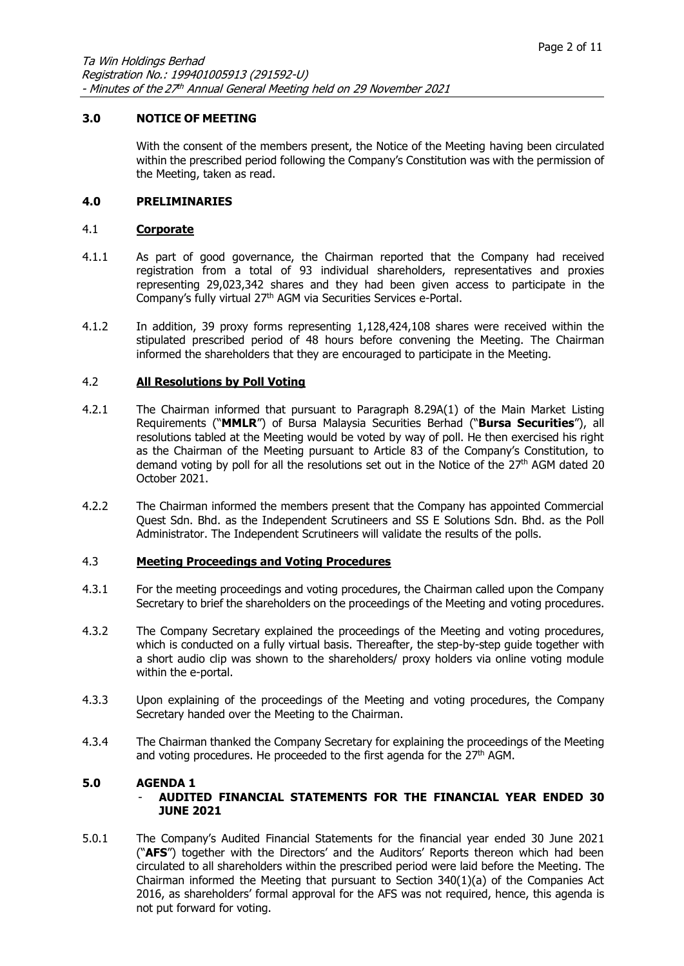## **3.0 NOTICE OF MEETING**

With the consent of the members present, the Notice of the Meeting having been circulated within the prescribed period following the Company's Constitution was with the permission of the Meeting, taken as read.

#### **4.0 PRELIMINARIES**

#### 4.1 **Corporate**

- 4.1.1 As part of good governance, the Chairman reported that the Company had received registration from a total of 93 individual shareholders, representatives and proxies representing 29,023,342 shares and they had been given access to participate in the Company's fully virtual 27<sup>th</sup> AGM via Securities Services e-Portal.
- 4.1.2 In addition, 39 proxy forms representing 1,128,424,108 shares were received within the stipulated prescribed period of 48 hours before convening the Meeting. The Chairman informed the shareholders that they are encouraged to participate in the Meeting.

#### 4.2 **All Resolutions by Poll Voting**

- 4.2.1 The Chairman informed that pursuant to Paragraph 8.29A(1) of the Main Market Listing Requirements ("**MMLR**") of Bursa Malaysia Securities Berhad ("**Bursa Securities**"), all resolutions tabled at the Meeting would be voted by way of poll. He then exercised his right as the Chairman of the Meeting pursuant to Article 83 of the Company's Constitution, to demand voting by poll for all the resolutions set out in the Notice of the 27<sup>th</sup> AGM dated 20 October 2021.
- 4.2.2 The Chairman informed the members present that the Company has appointed Commercial Quest Sdn. Bhd. as the Independent Scrutineers and SS E Solutions Sdn. Bhd. as the Poll Administrator. The Independent Scrutineers will validate the results of the polls.

#### 4.3 **Meeting Proceedings and Voting Procedures**

- 4.3.1 For the meeting proceedings and voting procedures, the Chairman called upon the Company Secretary to brief the shareholders on the proceedings of the Meeting and voting procedures.
- 4.3.2 The Company Secretary explained the proceedings of the Meeting and voting procedures, which is conducted on a fully virtual basis. Thereafter, the step-by-step guide together with a short audio clip was shown to the shareholders/ proxy holders via online voting module within the e-portal.
- 4.3.3 Upon explaining of the proceedings of the Meeting and voting procedures, the Company Secretary handed over the Meeting to the Chairman.
- 4.3.4 The Chairman thanked the Company Secretary for explaining the proceedings of the Meeting and voting procedures. He proceeded to the first agenda for the 27<sup>th</sup> AGM.

## **5.0 AGENDA 1**

## - **AUDITED FINANCIAL STATEMENTS FOR THE FINANCIAL YEAR ENDED 30 JUNE 2021**

5.0.1 The Company's Audited Financial Statements for the financial year ended 30 June 2021 ("**AFS**") together with the Directors' and the Auditors' Reports thereon which had been circulated to all shareholders within the prescribed period were laid before the Meeting. The Chairman informed the Meeting that pursuant to Section  $340(1)(a)$  of the Companies Act 2016, as shareholders' formal approval for the AFS was not required, hence, this agenda is not put forward for voting.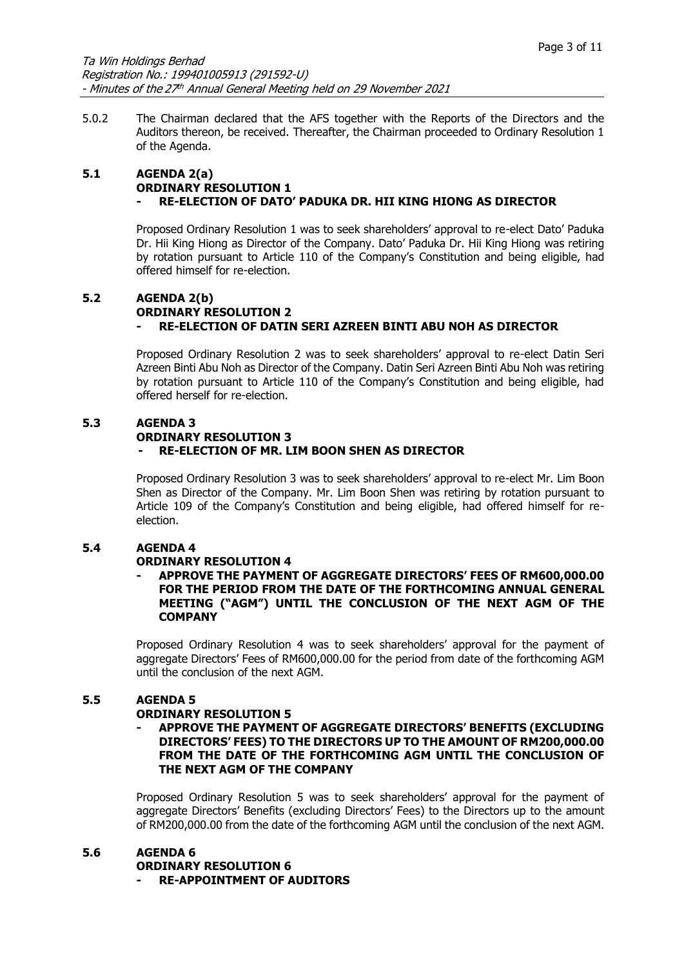5.0.2 The Chairman declared that the AFS together with the Reports of the Directors and the Auditors thereon, be received. Thereafter, the Chairman proceeded to Ordinary Resolution 1 of the Agenda.

#### **5.1 AGENDA 2(a) ORDINARY RESOLUTION 1 - RE-ELECTION OF DATO' PADUKA DR. HII KING HIONG AS DIRECTOR**

Proposed Ordinary Resolution 1 was to seek shareholders' approval to re-elect Dato' Paduka Dr. Hii King Hiong as Director of the Company. Dato' Paduka Dr. Hii King Hiong was retiring by rotation pursuant to Article 110 of the Company's Constitution and being eligible, had offered himself for re-election.

## **5.2 AGENDA 2(b) ORDINARY RESOLUTION 2 - RE-ELECTION OF DATIN SERI AZREEN BINTI ABU NOH AS DIRECTOR**

Proposed Ordinary Resolution 2 was to seek shareholders' approval to re-elect Datin Seri Azreen Binti Abu Noh as Director of the Company. Datin Seri Azreen Binti Abu Noh was retiring by rotation pursuant to Article 110 of the Company's Constitution and being eligible, had offered herself for re-election.

## **5.3 AGENDA 3**

#### **ORDINARY RESOLUTION 3**

## **- RE-ELECTION OF MR. LIM BOON SHEN AS DIRECTOR**

Proposed Ordinary Resolution 3 was to seek shareholders' approval to re-elect Mr. Lim Boon Shen as Director of the Company. Mr. Lim Boon Shen was retiring by rotation pursuant to Article 109 of the Company's Constitution and being eligible, had offered himself for reelection.

## **5.4 AGENDA 4**

## **ORDINARY RESOLUTION 4**

#### **- APPROVE THE PAYMENT OF AGGREGATE DIRECTORS' FEES OF RM600,000.00 FOR THE PERIOD FROM THE DATE OF THE FORTHCOMING ANNUAL GENERAL MEETING ("AGM") UNTIL THE CONCLUSION OF THE NEXT AGM OF THE COMPANY**

Proposed Ordinary Resolution 4 was to seek shareholders' approval for the payment of aggregate Directors' Fees of RM600,000.00 for the period from date of the forthcoming AGM until the conclusion of the next AGM.

## **5.5 AGENDA 5**

## **ORDINARY RESOLUTION 5**

#### **- APPROVE THE PAYMENT OF AGGREGATE DIRECTORS' BENEFITS (EXCLUDING DIRECTORS' FEES) TO THE DIRECTORS UP TO THE AMOUNT OF RM200,000.00 FROM THE DATE OF THE FORTHCOMING AGM UNTIL THE CONCLUSION OF THE NEXT AGM OF THE COMPANY**

Proposed Ordinary Resolution 5 was to seek shareholders' approval for the payment of aggregate Directors' Benefits (excluding Directors' Fees) to the Directors up to the amount of RM200,000.00 from the date of the forthcoming AGM until the conclusion of the next AGM.

## **5.6 AGENDA 6**

#### **ORDINARY RESOLUTION 6**

**- RE-APPOINTMENT OF AUDITORS**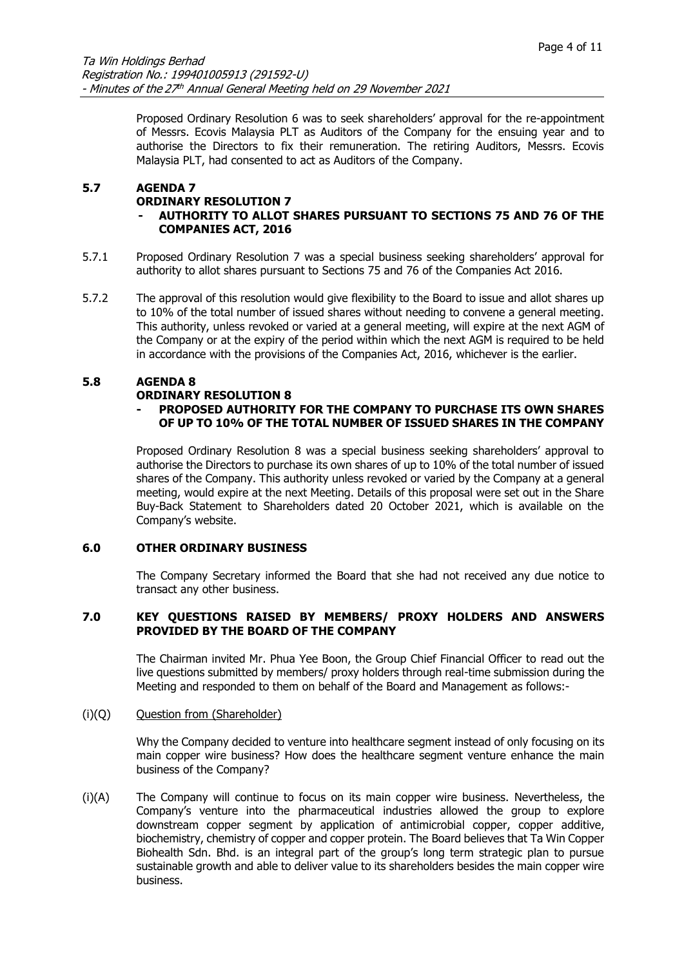Proposed Ordinary Resolution 6 was to seek shareholders' approval for the re-appointment of Messrs. Ecovis Malaysia PLT as Auditors of the Company for the ensuing year and to authorise the Directors to fix their remuneration. The retiring Auditors, Messrs. Ecovis Malaysia PLT, had consented to act as Auditors of the Company.

## **5.7 AGENDA 7**

#### **ORDINARY RESOLUTION 7**

## **- AUTHORITY TO ALLOT SHARES PURSUANT TO SECTIONS 75 AND 76 OF THE COMPANIES ACT, 2016**

- 5.7.1 Proposed Ordinary Resolution 7 was a special business seeking shareholders' approval for authority to allot shares pursuant to Sections 75 and 76 of the Companies Act 2016.
- 5.7.2 The approval of this resolution would give flexibility to the Board to issue and allot shares up to 10% of the total number of issued shares without needing to convene a general meeting. This authority, unless revoked or varied at a general meeting, will expire at the next AGM of the Company or at the expiry of the period within which the next AGM is required to be held in accordance with the provisions of the Companies Act, 2016, whichever is the earlier.

#### **5.8 AGENDA 8 ORDINARY RESOLUTION 8**

# **- PROPOSED AUTHORITY FOR THE COMPANY TO PURCHASE ITS OWN SHARES OF UP TO 10% OF THE TOTAL NUMBER OF ISSUED SHARES IN THE COMPANY**

Proposed Ordinary Resolution 8 was a special business seeking shareholders' approval to authorise the Directors to purchase its own shares of up to 10% of the total number of issued shares of the Company. This authority unless revoked or varied by the Company at a general meeting, would expire at the next Meeting. Details of this proposal were set out in the Share Buy-Back Statement to Shareholders dated 20 October 2021, which is available on the Company's website.

## **6.0 OTHER ORDINARY BUSINESS**

The Company Secretary informed the Board that she had not received any due notice to transact any other business.

## **7.0 KEY QUESTIONS RAISED BY MEMBERS/ PROXY HOLDERS AND ANSWERS PROVIDED BY THE BOARD OF THE COMPANY**

The Chairman invited Mr. Phua Yee Boon, the Group Chief Financial Officer to read out the live questions submitted by members/ proxy holders through real-time submission during the Meeting and responded to them on behalf of the Board and Management as follows:-

## (i)(Q) Question from (Shareholder)

Why the Company decided to venture into healthcare segment instead of only focusing on its main copper wire business? How does the healthcare segment venture enhance the main business of the Company?

(i)(A) The Company will continue to focus on its main copper wire business. Nevertheless, the Company's venture into the pharmaceutical industries allowed the group to explore downstream copper segment by application of antimicrobial copper, copper additive, biochemistry, chemistry of copper and copper protein. The Board believes that Ta Win Copper Biohealth Sdn. Bhd. is an integral part of the group's long term strategic plan to pursue sustainable growth and able to deliver value to its shareholders besides the main copper wire business.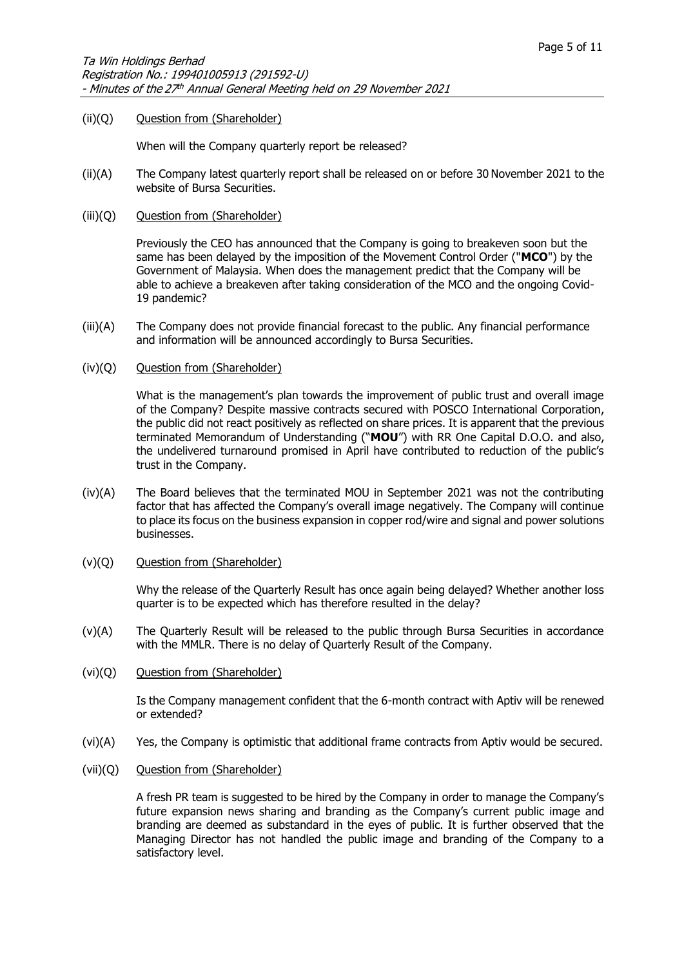#### (ii)(Q) Question from (Shareholder)

When will the Company quarterly report be released?

- (ii)(A) The Company latest quarterly report shall be released on or before 30 November 2021 to the website of Bursa Securities.
- (iii)(Q) Question from (Shareholder)

Previously the CEO has announced that the Company is going to breakeven soon but the same has been delayed by the imposition of the Movement Control Order ("**MCO**") by the Government of Malaysia. When does the management predict that the Company will be able to achieve a breakeven after taking consideration of the MCO and the ongoing Covid-19 pandemic?

- (iii)(A) The Company does not provide financial forecast to the public. Any financial performance and information will be announced accordingly to Bursa Securities.
- (iv)(Q) Question from (Shareholder)

What is the management's plan towards the improvement of public trust and overall image of the Company? Despite massive contracts secured with POSCO International Corporation, the public did not react positively as reflected on share prices. It is apparent that the previous terminated Memorandum of Understanding ("**MOU**") with RR One Capital D.O.O. and also, the undelivered turnaround promised in April have contributed to reduction of the public's trust in the Company.

- (iv)(A) The Board believes that the terminated MOU in September 2021 was not the contributing factor that has affected the Company's overall image negatively. The Company will continue to place its focus on the business expansion in copper rod/wire and signal and power solutions businesses.
- (v)(Q) Question from (Shareholder)

Why the release of the Quarterly Result has once again being delayed? Whether another loss quarter is to be expected which has therefore resulted in the delay?

- (v)(A) The Quarterly Result will be released to the public through Bursa Securities in accordance with the MMLR. There is no delay of Quarterly Result of the Company.
- (vi)(Q) Question from (Shareholder)

Is the Company management confident that the 6-month contract with Aptiv will be renewed or extended?

- (vi)(A) Yes, the Company is optimistic that additional frame contracts from Aptiv would be secured.
- (vii)(Q) Question from (Shareholder)

A fresh PR team is suggested to be hired by the Company in order to manage the Company's future expansion news sharing and branding as the Company's current public image and branding are deemed as substandard in the eyes of public. It is further observed that the Managing Director has not handled the public image and branding of the Company to a satisfactory level.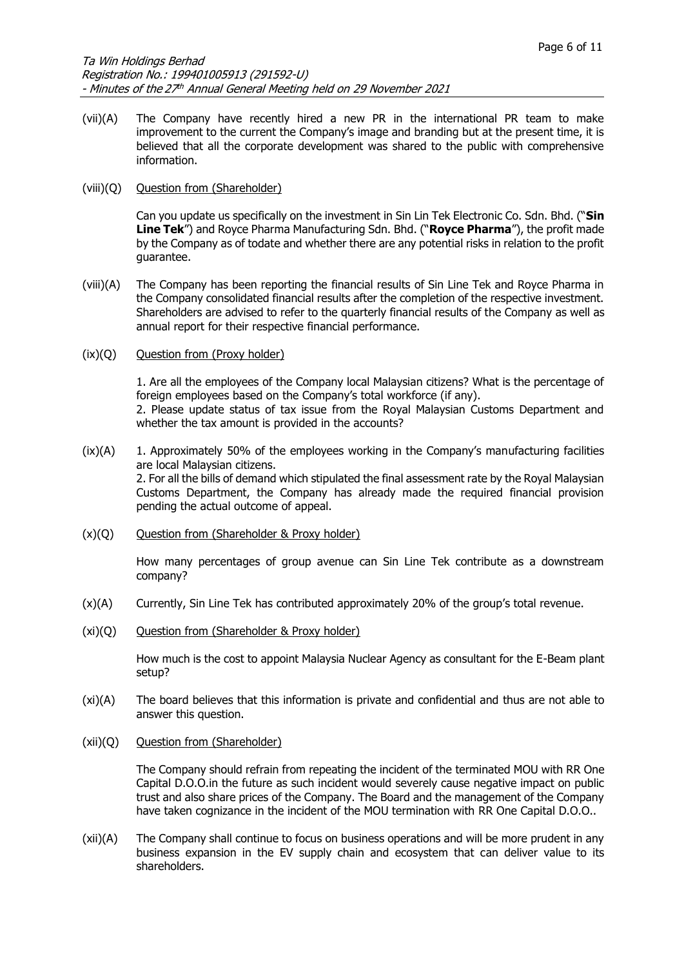(vii)(A) The Company have recently hired a new PR in the international PR team to make improvement to the current the Company's image and branding but at the present time, it is believed that all the corporate development was shared to the public with comprehensive information.

#### (viii)(Q) Question from (Shareholder)

Can you update us specifically on the investment in Sin Lin Tek Electronic Co. Sdn. Bhd. ("**Sin Line Tek**") and Royce Pharma Manufacturing Sdn. Bhd. ("**Royce Pharma**"), the profit made by the Company as of todate and whether there are any potential risks in relation to the profit guarantee.

(viii)(A) The Company has been reporting the financial results of Sin Line Tek and Royce Pharma in the Company consolidated financial results after the completion of the respective investment. Shareholders are advised to refer to the quarterly financial results of the Company as well as annual report for their respective financial performance.

#### (ix)(Q) Question from (Proxy holder)

1. Are all the employees of the Company local Malaysian citizens? What is the percentage of foreign employees based on the Company's total workforce (if any). 2. Please update status of tax issue from the Royal Malaysian Customs Department and

- $(ix)(A)$  1. Approximately 50% of the employees working in the Company's manufacturing facilities are local Malaysian citizens. 2. For all the bills of demand which stipulated the final assessment rate by the Royal Malaysian Customs Department, the Company has already made the required financial provision pending the actual outcome of appeal.
- $(x)(Q)$  Question from (Shareholder & Proxy holder)

whether the tax amount is provided in the accounts?

How many percentages of group avenue can Sin Line Tek contribute as a downstream company?

- (x)(A) Currently, Sin Line Tek has contributed approximately 20% of the group's total revenue.
- (xi)(Q) Question from (Shareholder & Proxy holder)

How much is the cost to appoint Malaysia Nuclear Agency as consultant for the E-Beam plant setup?

- (xi)(A) The board believes that this information is private and confidential and thus are not able to answer this question.
- (xii)(Q) Question from (Shareholder)

The Company should refrain from repeating the incident of the terminated MOU with RR One Capital D.O.O.in the future as such incident would severely cause negative impact on public trust and also share prices of the Company. The Board and the management of the Company have taken cognizance in the incident of the MOU termination with RR One Capital D.O.O..

(xii)(A) The Company shall continue to focus on business operations and will be more prudent in any business expansion in the EV supply chain and ecosystem that can deliver value to its shareholders.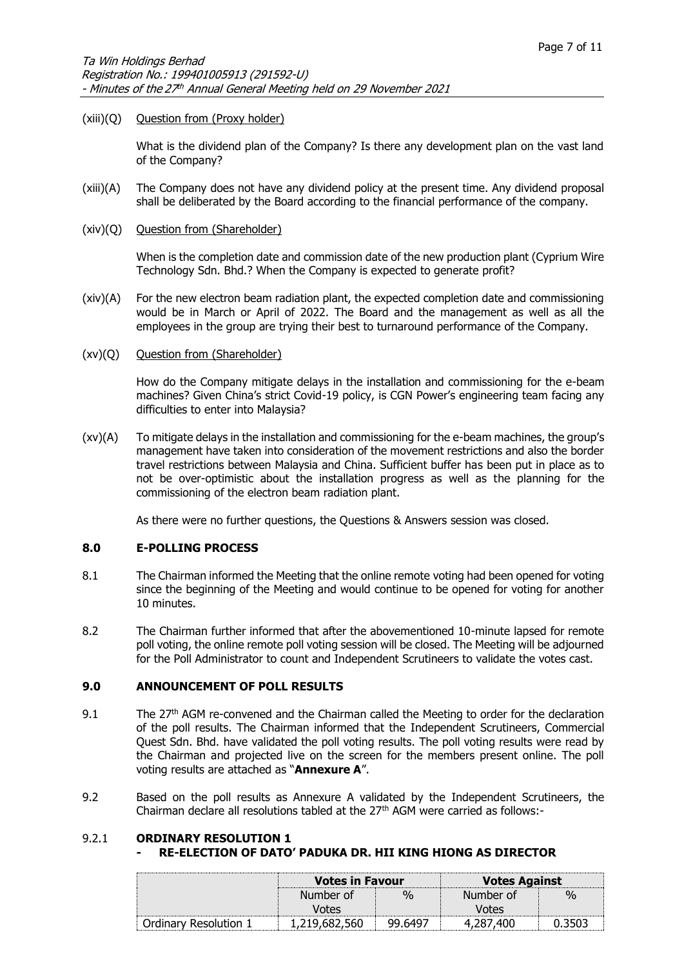#### (xiii)(Q) Question from (Proxy holder)

What is the dividend plan of the Company? Is there any development plan on the vast land of the Company?

- (xiii)(A) The Company does not have any dividend policy at the present time. Any dividend proposal shall be deliberated by the Board according to the financial performance of the company.
- (xiv)(Q) Question from (Shareholder)

When is the completion date and commission date of the new production plant (Cyprium Wire Technology Sdn. Bhd.? When the Company is expected to generate profit?

- (xiv)(A) For the new electron beam radiation plant, the expected completion date and commissioning would be in March or April of 2022. The Board and the management as well as all the employees in the group are trying their best to turnaround performance of the Company.
- (xv)(Q) Question from (Shareholder)

How do the Company mitigate delays in the installation and commissioning for the e-beam machines? Given China's strict Covid-19 policy, is CGN Power's engineering team facing any difficulties to enter into Malaysia?

(xv)(A) To mitigate delays in the installation and commissioning for the e-beam machines, the group's management have taken into consideration of the movement restrictions and also the border travel restrictions between Malaysia and China. Sufficient buffer has been put in place as to not be over-optimistic about the installation progress as well as the planning for the commissioning of the electron beam radiation plant.

As there were no further questions, the Questions & Answers session was closed.

#### **8.0 E-POLLING PROCESS**

- 8.1 The Chairman informed the Meeting that the online remote voting had been opened for voting since the beginning of the Meeting and would continue to be opened for voting for another 10 minutes.
- 8.2 The Chairman further informed that after the abovementioned 10-minute lapsed for remote poll voting, the online remote poll voting session will be closed. The Meeting will be adjourned for the Poll Administrator to count and Independent Scrutineers to validate the votes cast.

## **9.0 ANNOUNCEMENT OF POLL RESULTS**

- 9.1 The 27<sup>th</sup> AGM re-convened and the Chairman called the Meeting to order for the declaration of the poll results. The Chairman informed that the Independent Scrutineers, Commercial Quest Sdn. Bhd. have validated the poll voting results. The poll voting results were read by the Chairman and projected live on the screen for the members present online. The poll voting results are attached as "**Annexure A**".
- 9.2 Based on the poll results as Annexure A validated by the Independent Scrutineers, the Chairman declare all resolutions tabled at the  $27<sup>th</sup>$  AGM were carried as follows:-

## 9.2.1 **ORDINARY RESOLUTION 1**

## **- RE-ELECTION OF DATO' PADUKA DR. HII KING HIONG AS DIRECTOR**

|                       | <b>Votes in Favour</b> |        | <b>Votes Against</b> |    |  |
|-----------------------|------------------------|--------|----------------------|----|--|
|                       | Number of              | 0/2    | Number of            | ማሊ |  |
|                       | /ntes                  |        | /ntes                |    |  |
| Ordinarv Resolution : | , 19                   | 99.649 |                      |    |  |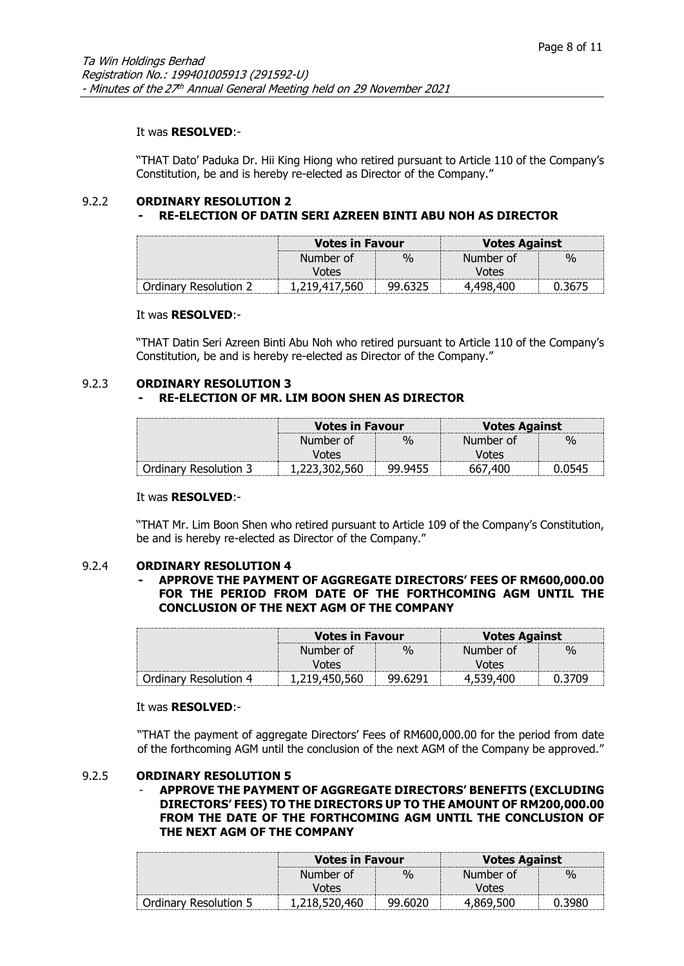#### It was **RESOLVED**:-

"THAT Dato' Paduka Dr. Hii King Hiong who retired pursuant to Article 110 of the Company's Constitution, be and is hereby re-elected as Director of the Company."

#### 9.2.2 **ORDINARY RESOLUTION 2 - RE-ELECTION OF DATIN SERI AZREEN BINTI ABU NOH AS DIRECTOR**

|                       | <b>Votes in Favour</b> |   | <b>Votes Against</b> |               |  |
|-----------------------|------------------------|---|----------------------|---------------|--|
|                       | Number of              | % | Number of            | $\frac{1}{2}$ |  |
|                       | Votes                  |   | Votes                |               |  |
| Ordinary Resolution 2 | 1,219,41               |   |                      |               |  |

#### It was **RESOLVED**:-

"THAT Datin Seri Azreen Binti Abu Noh who retired pursuant to Article 110 of the Company's Constitution, be and is hereby re-elected as Director of the Company."

# 9.2.3 **ORDINARY RESOLUTION 3**

# **- RE-ELECTION OF MR. LIM BOON SHEN AS DIRECTOR**

|                       | <b>Votes in Favour</b> |          | <b>Votes Against</b> |               |  |
|-----------------------|------------------------|----------|----------------------|---------------|--|
|                       | Number of              | $\sigma$ | Number of            | $\frac{0}{n}$ |  |
|                       | Votes                  |          | Votes                |               |  |
| Ordinary Resolution 3 | 1,223,302,560          | 99.9455  | 667,400              |               |  |

#### It was **RESOLVED**:-

"THAT Mr. Lim Boon Shen who retired pursuant to Article 109 of the Company's Constitution, be and is hereby re-elected as Director of the Company."

#### 9.2.4 **ORDINARY RESOLUTION 4**

## **- APPROVE THE PAYMENT OF AGGREGATE DIRECTORS' FEES OF RM600,000.00 FOR THE PERIOD FROM DATE OF THE FORTHCOMING AGM UNTIL THE CONCLUSION OF THE NEXT AGM OF THE COMPANY**

|                       | Votes in Favour |         | <b>Votes Against</b> |               |  |
|-----------------------|-----------------|---------|----------------------|---------------|--|
|                       | Number of       | $v_{0}$ | Number of            | $\frac{0}{0}$ |  |
|                       | Votes           |         | /otes                |               |  |
| Ordinary Resolution 4 |                 |         |                      |               |  |

#### It was **RESOLVED**:-

"THAT the payment of aggregate Directors' Fees of RM600,000.00 for the period from date of the forthcoming AGM until the conclusion of the next AGM of the Company be approved."

## 9.2.5 **ORDINARY RESOLUTION 5**

#### - **APPROVE THE PAYMENT OF AGGREGATE DIRECTORS' BENEFITS (EXCLUDING DIRECTORS' FEES) TO THE DIRECTORS UP TO THE AMOUNT OF RM200,000.00 FROM THE DATE OF THE FORTHCOMING AGM UNTIL THE CONCLUSION OF THE NEXT AGM OF THE COMPANY**

|                       | Votes in Favour |         | <b>Votes Against</b> |                    |  |
|-----------------------|-----------------|---------|----------------------|--------------------|--|
|                       | Number of       | %       | Number of            | $\frac{v}{\Omega}$ |  |
|                       | /ntes           |         | Votes                |                    |  |
| Ordinary Resolution 5 | 1,218,520,460   | 99.6020 |                      |                    |  |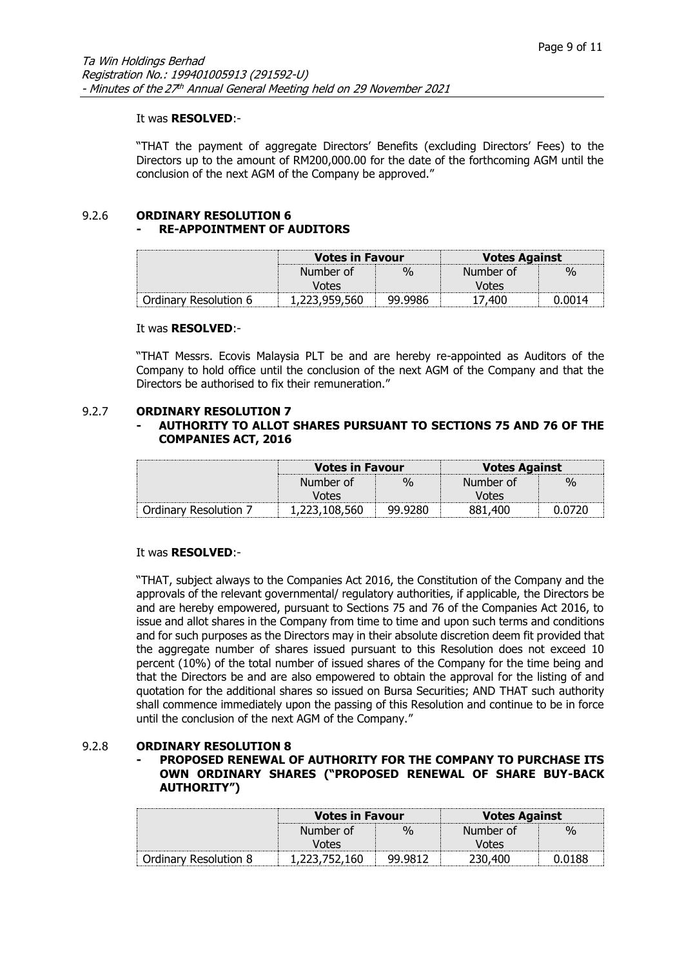#### It was **RESOLVED**:-

"THAT the payment of aggregate Directors' Benefits (excluding Directors' Fees) to the Directors up to the amount of RM200,000.00 for the date of the forthcoming AGM until the conclusion of the next AGM of the Company be approved."

#### 9.2.6 **ORDINARY RESOLUTION 6 - RE-APPOINTMENT OF AUDITORS**

|                       | Votes in Favour |         | <b>Votes Against</b> |   |  |
|-----------------------|-----------------|---------|----------------------|---|--|
|                       | Number of       | 0/2     | Number of            | % |  |
|                       | Votes           |         | Jotes                |   |  |
| Ordinary Resolution 6 |                 | 99 9986 |                      |   |  |

#### It was **RESOLVED**:-

"THAT Messrs. Ecovis Malaysia PLT be and are hereby re-appointed as Auditors of the Company to hold office until the conclusion of the next AGM of the Company and that the Directors be authorised to fix their remuneration."

#### 9.2.7 **ORDINARY RESOLUTION 7**

## **- AUTHORITY TO ALLOT SHARES PURSUANT TO SECTIONS 75 AND 76 OF THE COMPANIES ACT, 2016**

|                      | <b>Votes in Favour</b> |               | <b>Votes Against</b> |      |  |
|----------------------|------------------------|---------------|----------------------|------|--|
|                      | Number of              | $\frac{0}{0}$ | Number of            | $\%$ |  |
|                      | /otes                  |               | Votes                |      |  |
| Ordinary Resolution, |                        | 99.9280       |                      |      |  |

## It was **RESOLVED**:-

"THAT, subject always to the Companies Act 2016, the Constitution of the Company and the approvals of the relevant governmental/ regulatory authorities, if applicable, the Directors be and are hereby empowered, pursuant to Sections 75 and 76 of the Companies Act 2016, to issue and allot shares in the Company from time to time and upon such terms and conditions and for such purposes as the Directors may in their absolute discretion deem fit provided that the aggregate number of shares issued pursuant to this Resolution does not exceed 10 percent (10%) of the total number of issued shares of the Company for the time being and that the Directors be and are also empowered to obtain the approval for the listing of and quotation for the additional shares so issued on Bursa Securities; AND THAT such authority shall commence immediately upon the passing of this Resolution and continue to be in force until the conclusion of the next AGM of the Company."

## 9.2.8 **ORDINARY RESOLUTION 8**

## **- PROPOSED RENEWAL OF AUTHORITY FOR THE COMPANY TO PURCHASE ITS OWN ORDINARY SHARES ("PROPOSED RENEWAL OF SHARE BUY-BACK AUTHORITY")**

|                            | <b>Votes in Favour</b> |   | <b>Votes Against</b> |               |  |
|----------------------------|------------------------|---|----------------------|---------------|--|
|                            | Number of              | Ψ | Number of            | $\frac{1}{2}$ |  |
|                            | Votes                  |   | /ntes                |               |  |
| Resolution 8<br>. )rdinarv |                        |   |                      |               |  |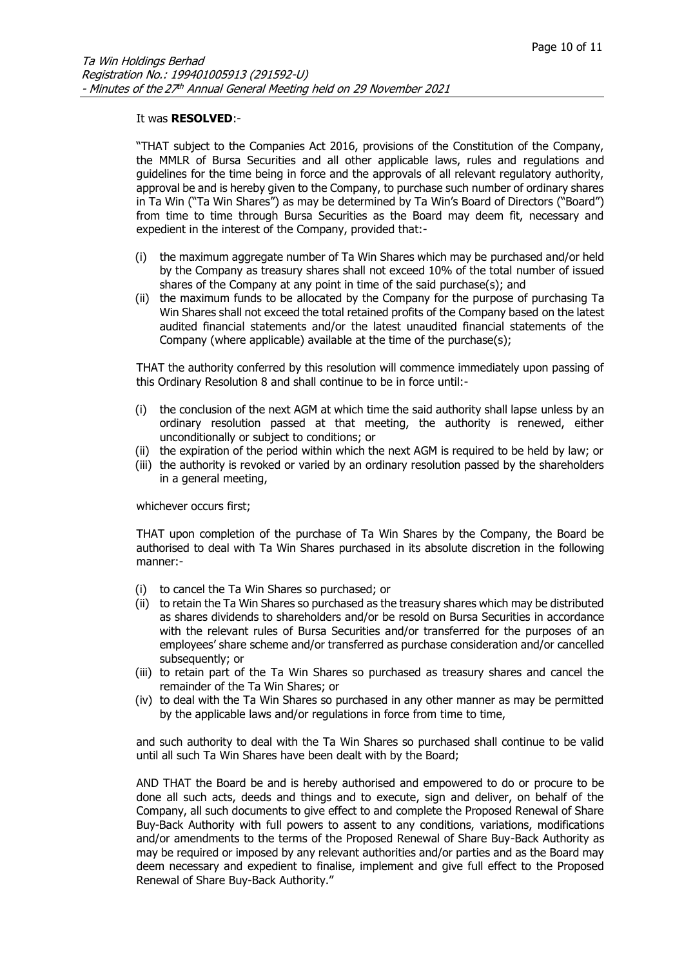#### It was **RESOLVED**:-

"THAT subject to the Companies Act 2016, provisions of the Constitution of the Company, the MMLR of Bursa Securities and all other applicable laws, rules and regulations and guidelines for the time being in force and the approvals of all relevant regulatory authority, approval be and is hereby given to the Company, to purchase such number of ordinary shares in Ta Win ("Ta Win Shares") as may be determined by Ta Win's Board of Directors ("Board") from time to time through Bursa Securities as the Board may deem fit, necessary and expedient in the interest of the Company, provided that:-

- (i) the maximum aggregate number of Ta Win Shares which may be purchased and/or held by the Company as treasury shares shall not exceed 10% of the total number of issued shares of the Company at any point in time of the said purchase(s); and
- (ii) the maximum funds to be allocated by the Company for the purpose of purchasing Ta Win Shares shall not exceed the total retained profits of the Company based on the latest audited financial statements and/or the latest unaudited financial statements of the Company (where applicable) available at the time of the purchase(s);

THAT the authority conferred by this resolution will commence immediately upon passing of this Ordinary Resolution 8 and shall continue to be in force until:-

- (i) the conclusion of the next AGM at which time the said authority shall lapse unless by an ordinary resolution passed at that meeting, the authority is renewed, either unconditionally or subject to conditions; or
- (ii) the expiration of the period within which the next AGM is required to be held by law; or
- (iii) the authority is revoked or varied by an ordinary resolution passed by the shareholders in a general meeting,

whichever occurs first;

THAT upon completion of the purchase of Ta Win Shares by the Company, the Board be authorised to deal with Ta Win Shares purchased in its absolute discretion in the following manner:-

- (i) to cancel the Ta Win Shares so purchased; or
- (ii) to retain the Ta Win Shares so purchased as the treasury shares which may be distributed as shares dividends to shareholders and/or be resold on Bursa Securities in accordance with the relevant rules of Bursa Securities and/or transferred for the purposes of an employees' share scheme and/or transferred as purchase consideration and/or cancelled subsequently; or
- (iii) to retain part of the Ta Win Shares so purchased as treasury shares and cancel the remainder of the Ta Win Shares; or
- (iv) to deal with the Ta Win Shares so purchased in any other manner as may be permitted by the applicable laws and/or regulations in force from time to time,

and such authority to deal with the Ta Win Shares so purchased shall continue to be valid until all such Ta Win Shares have been dealt with by the Board;

AND THAT the Board be and is hereby authorised and empowered to do or procure to be done all such acts, deeds and things and to execute, sign and deliver, on behalf of the Company, all such documents to give effect to and complete the Proposed Renewal of Share Buy-Back Authority with full powers to assent to any conditions, variations, modifications and/or amendments to the terms of the Proposed Renewal of Share Buy-Back Authority as may be required or imposed by any relevant authorities and/or parties and as the Board may deem necessary and expedient to finalise, implement and give full effect to the Proposed Renewal of Share Buy-Back Authority."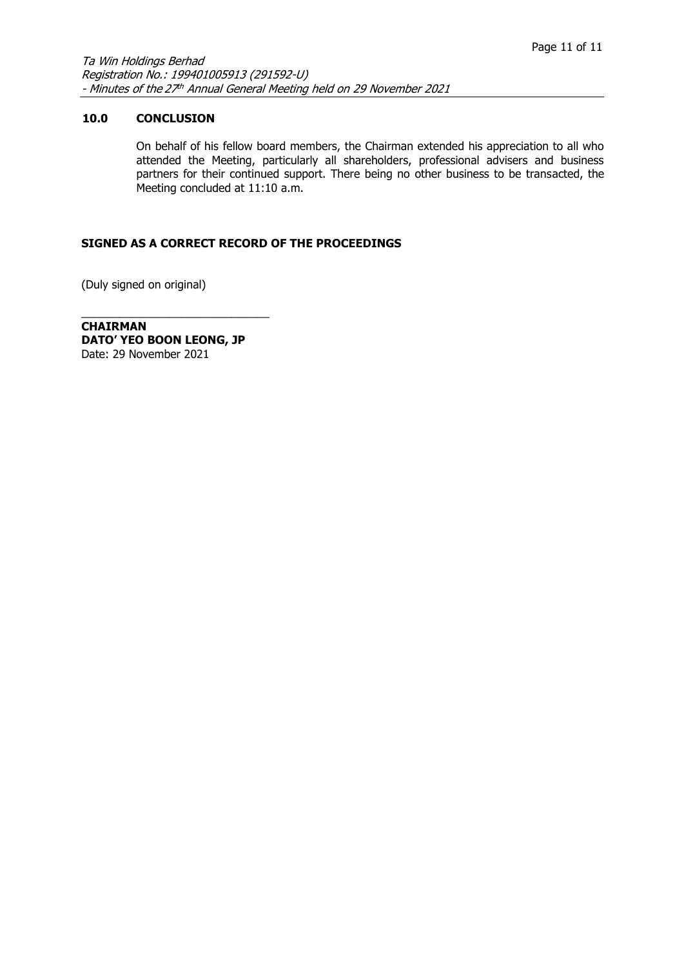## **10.0 CONCLUSION**

On behalf of his fellow board members, the Chairman extended his appreciation to all who attended the Meeting, particularly all shareholders, professional advisers and business partners for their continued support. There being no other business to be transacted, the Meeting concluded at 11:10 a.m.

## **SIGNED AS A CORRECT RECORD OF THE PROCEEDINGS**

(Duly signed on original)

**CHAIRMAN DATO' YEO BOON LEONG, JP** Date: 29 November 2021

\_\_\_\_\_\_\_\_\_\_\_\_\_\_\_\_\_\_\_\_\_\_\_\_\_\_\_\_\_\_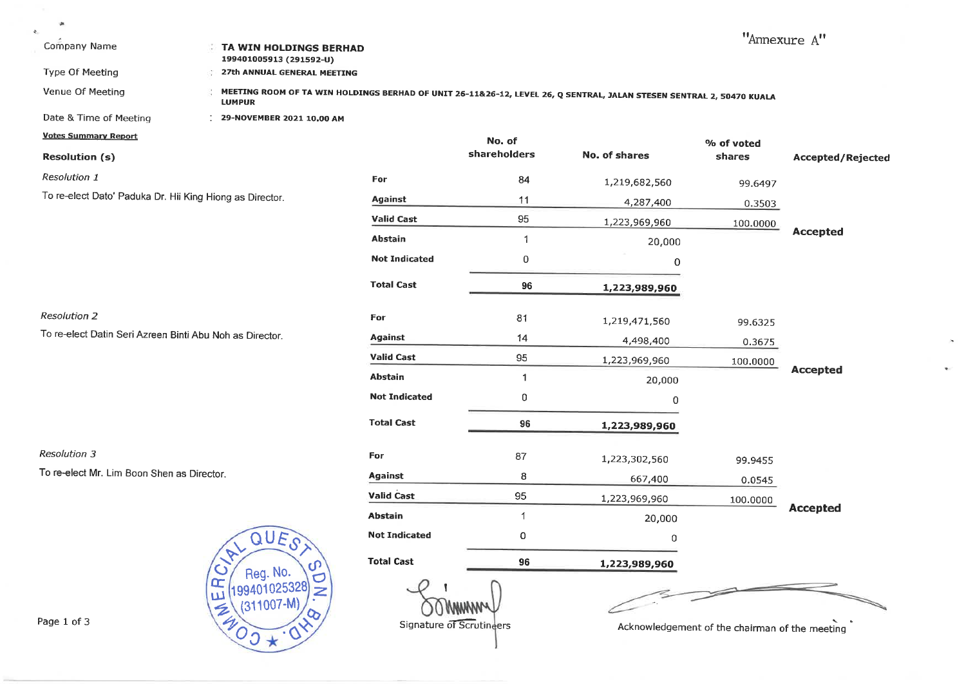| Ųk.<br>÷<br>Company Name                                 |        | TA WIN HOLDINGS BERHAD<br>199401005913 (291592-U) |                          |                        |                                                                                                                      |                                                | "Annexure A"      |
|----------------------------------------------------------|--------|---------------------------------------------------|--------------------------|------------------------|----------------------------------------------------------------------------------------------------------------------|------------------------------------------------|-------------------|
| Type Of Meeting<br>Venue Of Meeting                      |        | 27th ANNUAL GENERAL MEETING                       |                          |                        | MEETING ROOM OF TA WIN HOLDINGS BERHAD OF UNIT 26-11&26-12, LEVEL 26, Q SENTRAL, JALAN STESEN SENTRAL 2, 50470 KUALA |                                                |                   |
|                                                          |        | <b>LUMPUR</b>                                     |                          |                        |                                                                                                                      |                                                |                   |
| Date & Time of Meeting                                   |        | 29-NOVEMBER 2021 10,00 AM                         |                          |                        |                                                                                                                      |                                                |                   |
| <b>Votes Summary Report</b>                              |        |                                                   |                          | No. of<br>shareholders |                                                                                                                      | % of voted                                     |                   |
| <b>Resolution (s)</b>                                    |        |                                                   |                          |                        | No. of shares                                                                                                        | shares                                         | Accepted/Rejected |
| Resolution 1                                             |        |                                                   | For                      | 84                     | 1,219,682,560                                                                                                        | 99.6497                                        |                   |
| To re-elect Dato' Paduka Dr. Hii King Hiong as Director. |        |                                                   | <b>Against</b>           | 11                     | 4,287,400                                                                                                            | 0.3503                                         |                   |
|                                                          |        |                                                   | <b>Valid Cast</b>        | 95                     | 1,223,969,960                                                                                                        | 100.0000                                       |                   |
|                                                          |        |                                                   | <b>Abstain</b>           | -1                     | 20,000                                                                                                               |                                                | <b>Accepted</b>   |
|                                                          |        |                                                   | <b>Not Indicated</b>     | 0                      | 0                                                                                                                    |                                                |                   |
|                                                          |        |                                                   | <b>Total Cast</b>        | 96                     | 1,223,989,960                                                                                                        |                                                |                   |
| <b>Resolution 2</b>                                      |        |                                                   | For                      | 81                     | 1,219,471,560                                                                                                        | 99.6325                                        |                   |
| To re-elect Datin Seri Azreen Binti Abu Noh as Director. |        |                                                   | Against                  | 14                     | 4,498,400                                                                                                            | 0.3675                                         |                   |
|                                                          |        |                                                   | <b>Valid Cast</b>        | 95                     | 1,223,969,960                                                                                                        | 100.0000                                       |                   |
|                                                          |        |                                                   | <b>Abstain</b>           | $\mathbf{1}$           | 20,000                                                                                                               |                                                | <b>Accepted</b>   |
|                                                          |        |                                                   | <b>Not Indicated</b>     | 0                      | 0                                                                                                                    |                                                |                   |
|                                                          |        |                                                   | <b>Total Cast</b>        | 96                     | 1,223,989,960                                                                                                        |                                                |                   |
| <b>Resolution 3</b>                                      |        |                                                   | For                      | 87                     | 1,223,302,560                                                                                                        | 99.9455                                        |                   |
| To re-elect Mr. Lim Boon Shen as Director.               |        |                                                   | <b>Against</b>           | 8                      | 667,400                                                                                                              |                                                |                   |
|                                                          |        |                                                   | <b>Valid Cast</b>        | 95                     | 1,223,969,960                                                                                                        | 0.0545                                         |                   |
|                                                          |        |                                                   | <b>Abstain</b>           | 1                      | 20,000                                                                                                               | 100.0000                                       | <b>Accepted</b>   |
|                                                          |        | QUES                                              | <b>Not Indicated</b>     | 0                      | 0                                                                                                                    |                                                |                   |
|                                                          |        |                                                   |                          |                        |                                                                                                                      |                                                |                   |
|                                                          |        | ഗ<br>Reg. No.<br>O                                | <b>Total Cast</b>        | 96                     | 1,223,989,960                                                                                                        |                                                |                   |
|                                                          | Œ<br>Ш | 199401025328<br>Z<br>$(311007-M)$                 |                          |                        |                                                                                                                      |                                                |                   |
| Page 1 of 3                                              |        | $Z_{40}$                                          | Signature of Scrutineers |                        |                                                                                                                      | Acknowledgement of the chairman of the meeting |                   |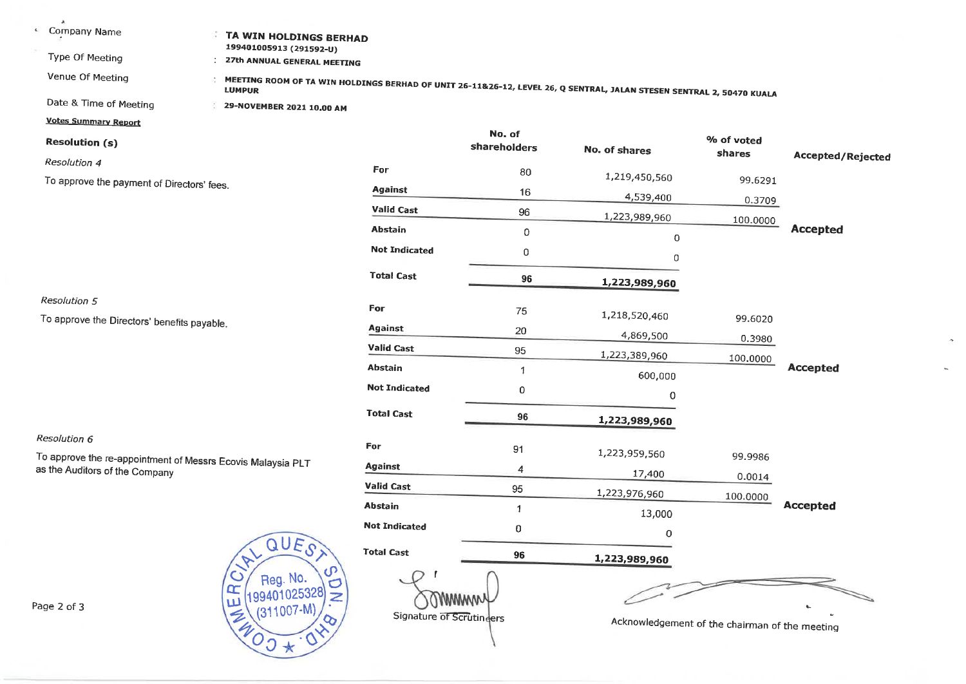| A<br>$\mathbf{L}_1$<br>Company Name<br>Type Of Meeting<br>Venue Of Meeting                        | TA WIN HOLDINGS BERHAD<br>199401005913 (291592-U)<br>27th ANNUAL GENERAL MEETING |                          |              |                                                                                                                      |                                                |                   |
|---------------------------------------------------------------------------------------------------|----------------------------------------------------------------------------------|--------------------------|--------------|----------------------------------------------------------------------------------------------------------------------|------------------------------------------------|-------------------|
|                                                                                                   |                                                                                  |                          |              | MEETING ROOM OF TA WIN HOLDINGS BERHAD OF UNIT 26-11&26-12, LEVEL 26, Q SENTRAL, JALAN STESEN SENTRAL 2, 50470 KUALA |                                                |                   |
| Date & Time of Meeting                                                                            | 29-NOVEMBER 2021 10.00 AM                                                        |                          |              |                                                                                                                      |                                                |                   |
| <b>Votes Summary Report</b>                                                                       |                                                                                  |                          | No. of       |                                                                                                                      |                                                |                   |
| <b>Resolution (s)</b>                                                                             |                                                                                  |                          | shareholders | No. of shares                                                                                                        | % of voted<br>shares                           | Accepted/Rejected |
| Resolution 4                                                                                      |                                                                                  | For                      | 80           | 1,219,450,560                                                                                                        |                                                |                   |
| To approve the payment of Directors' fees.                                                        |                                                                                  | <b>Against</b>           | 16           | 4,539,400                                                                                                            | 99.6291                                        |                   |
|                                                                                                   |                                                                                  | <b>Valid Cast</b>        | 96           |                                                                                                                      | 0.3709                                         |                   |
|                                                                                                   |                                                                                  | <b>Abstain</b>           | 0            | 1,223,989,960                                                                                                        | 100.0000                                       | <b>Accepted</b>   |
|                                                                                                   |                                                                                  | <b>Not Indicated</b>     | 0            | 0                                                                                                                    |                                                |                   |
|                                                                                                   |                                                                                  |                          |              | 0                                                                                                                    |                                                |                   |
|                                                                                                   |                                                                                  | <b>Total Cast</b>        | 96           | 1,223,989,960                                                                                                        |                                                |                   |
| <b>Resolution 5</b>                                                                               |                                                                                  | For                      |              |                                                                                                                      |                                                |                   |
|                                                                                                   | To approve the Directors' benefits payable.                                      |                          | 75           | 1,218,520,460                                                                                                        | 99.6020                                        |                   |
|                                                                                                   |                                                                                  | <b>Against</b>           | 20           | 4,869,500                                                                                                            | 0.3980                                         |                   |
|                                                                                                   |                                                                                  | <b>Valid Cast</b>        | 95           | 1,223,389,960                                                                                                        | 100.0000                                       |                   |
|                                                                                                   |                                                                                  | <b>Abstain</b>           | 1            | 600,000                                                                                                              |                                                | <b>Accepted</b>   |
|                                                                                                   |                                                                                  | <b>Not Indicated</b>     | 0            | $\mathbf 0$                                                                                                          |                                                |                   |
|                                                                                                   |                                                                                  | <b>Total Cast</b>        | 96           | 1,223,989,960                                                                                                        |                                                |                   |
| Resolution 6                                                                                      |                                                                                  |                          |              |                                                                                                                      |                                                |                   |
| To approve the re-appointment of Messrs Ecovis Malaysia PLT                                       |                                                                                  | For                      | 91           | 1,223,959,560                                                                                                        | 99.9986                                        |                   |
| as the Auditors of the Company                                                                    |                                                                                  | <b>Against</b>           | 4            | 17,400                                                                                                               | 0.0014                                         |                   |
|                                                                                                   |                                                                                  | <b>Valid Cast</b>        | 95           | 1,223,976,960                                                                                                        | 100.0000                                       |                   |
|                                                                                                   |                                                                                  | <b>Abstain</b>           | $\mathbf{1}$ | 13,000                                                                                                               |                                                | <b>Accepted</b>   |
|                                                                                                   |                                                                                  | <b>Not Indicated</b>     | 0            | 0                                                                                                                    |                                                |                   |
|                                                                                                   | QUES                                                                             | <b>Total Cast</b>        | 96           | 1,223,989,960                                                                                                        |                                                |                   |
| $\mathcal{C}$<br>Reg. No.<br>Œ<br>199401025328<br>ω<br>Page 2 of 3<br>$(311007-M)$<br>G<br>$400+$ |                                                                                  | Signature of Scrutingers | wwww         |                                                                                                                      | Acknowledgement of the chairman of the meeting |                   |

 $\sim$ 

 $\bar{\mathbf{r}}$